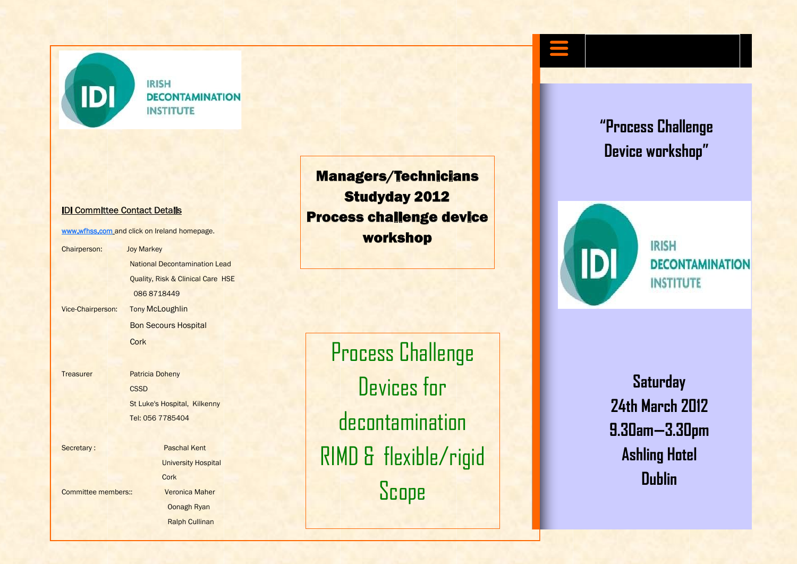

**IRISH DECONTAMINATION INSTITUTE** 

## IDI Committee Contact Details

www.wfhss.com and click on Ireland homepage.

Chairperson: Joy Markey National Decontamination Lead Quality, Risk & Clinical Care HSE 086 8718449 Vice-Chairperson: Tony McLoughlin Bon Secours Hospital **Cork** 

Treasurer Patricia Doheny **CSSD** St Luke's Hospital, Kilkenny Tel: 056 7785404

Secretary : Paschal Kent University Hospital **Cork** Committee members:: Veronica Maher Oonagh Ryan Ralph Cullinan

Managers/Technicians Studyday 2012 Process challenge device workshop

Process Challenge Devices for decontamination RIMD & flexible/rigid Scope

**"Process Challenge Device workshop"**



**IRISH** *DECONTAMINATION* **INSTITUTE** 

**Saturday 24th March 2012 9.30am—3.30pm Ashling Hotel Dublin**